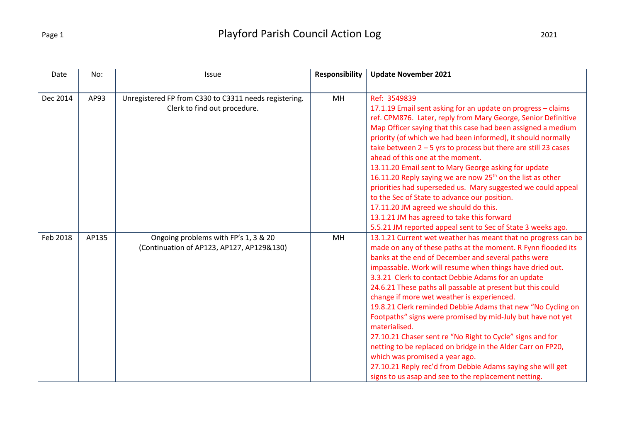| Date     | No:   | Issue                                                                                 | <b>Responsibility</b> | <b>Update November 2021</b>                                                                                                                                                                                                                                                                                                                                                                                                                                                                                                                                                                                                                                                                                                                                                                                                                           |
|----------|-------|---------------------------------------------------------------------------------------|-----------------------|-------------------------------------------------------------------------------------------------------------------------------------------------------------------------------------------------------------------------------------------------------------------------------------------------------------------------------------------------------------------------------------------------------------------------------------------------------------------------------------------------------------------------------------------------------------------------------------------------------------------------------------------------------------------------------------------------------------------------------------------------------------------------------------------------------------------------------------------------------|
|          |       |                                                                                       |                       |                                                                                                                                                                                                                                                                                                                                                                                                                                                                                                                                                                                                                                                                                                                                                                                                                                                       |
| Dec 2014 | AP93  | Unregistered FP from C330 to C3311 needs registering.<br>Clerk to find out procedure. | <b>MH</b>             | Ref: 3549839<br>17.1.19 Email sent asking for an update on progress - claims<br>ref. CPM876. Later, reply from Mary George, Senior Definitive<br>Map Officer saying that this case had been assigned a medium<br>priority (of which we had been informed), it should normally<br>take between $2 - 5$ yrs to process but there are still 23 cases<br>ahead of this one at the moment.<br>13.11.20 Email sent to Mary George asking for update<br>16.11.20 Reply saying we are now $25th$ on the list as other<br>priorities had superseded us. Mary suggested we could appeal<br>to the Sec of State to advance our position.<br>17.11.20 JM agreed we should do this.<br>13.1.21 JM has agreed to take this forward<br>5.5.21 JM reported appeal sent to Sec of State 3 weeks ago.                                                                   |
| Feb 2018 | AP135 | Ongoing problems with FP's 1, 3 & 20<br>(Continuation of AP123, AP127, AP129&130)     | <b>MH</b>             | 13.1.21 Current wet weather has meant that no progress can be<br>made on any of these paths at the moment. R Fynn flooded its<br>banks at the end of December and several paths were<br>impassable. Work will resume when things have dried out.<br>3.3.21 Clerk to contact Debbie Adams for an update<br>24.6.21 These paths all passable at present but this could<br>change if more wet weather is experienced.<br>19.8.21 Clerk reminded Debbie Adams that new "No Cycling on<br>Footpaths" signs were promised by mid-July but have not yet<br>materialised.<br>27.10.21 Chaser sent re "No Right to Cycle" signs and for<br>netting to be replaced on bridge in the Alder Carr on FP20,<br>which was promised a year ago.<br>27.10.21 Reply rec'd from Debbie Adams saying she will get<br>signs to us asap and see to the replacement netting. |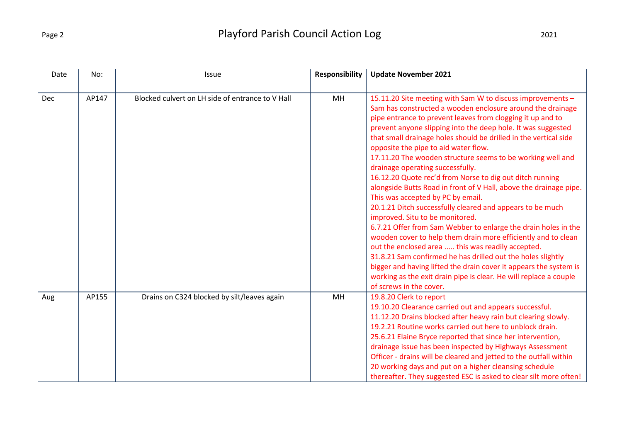| Date | No:   | Issue                                            | <b>Responsibility</b> | <b>Update November 2021</b>                                                                                                                                                                                                                                                                                                                                                                                                                                                                                                                                                                                                                                                                                                                                                                                                                                                                                                                                                                                                                                                                                                                                            |
|------|-------|--------------------------------------------------|-----------------------|------------------------------------------------------------------------------------------------------------------------------------------------------------------------------------------------------------------------------------------------------------------------------------------------------------------------------------------------------------------------------------------------------------------------------------------------------------------------------------------------------------------------------------------------------------------------------------------------------------------------------------------------------------------------------------------------------------------------------------------------------------------------------------------------------------------------------------------------------------------------------------------------------------------------------------------------------------------------------------------------------------------------------------------------------------------------------------------------------------------------------------------------------------------------|
| Dec  | AP147 | Blocked culvert on LH side of entrance to V Hall | MH                    | 15.11.20 Site meeting with Sam W to discuss improvements -<br>Sam has constructed a wooden enclosure around the drainage<br>pipe entrance to prevent leaves from clogging it up and to<br>prevent anyone slipping into the deep hole. It was suggested<br>that small drainage holes should be drilled in the vertical side<br>opposite the pipe to aid water flow.<br>17.11.20 The wooden structure seems to be working well and<br>drainage operating successfully.<br>16.12.20 Quote rec'd from Norse to dig out ditch running<br>alongside Butts Road in front of V Hall, above the drainage pipe.<br>This was accepted by PC by email.<br>20.1.21 Ditch successfully cleared and appears to be much<br>improved. Situ to be monitored.<br>6.7.21 Offer from Sam Webber to enlarge the drain holes in the<br>wooden cover to help them drain more efficiently and to clean<br>out the enclosed area  this was readily accepted.<br>31.8.21 Sam confirmed he has drilled out the holes slightly<br>bigger and having lifted the drain cover it appears the system is<br>working as the exit drain pipe is clear. He will replace a couple<br>of screws in the cover. |
| Aug  | AP155 | Drains on C324 blocked by silt/leaves again      | MH                    | 19.8.20 Clerk to report<br>19.10.20 Clearance carried out and appears successful.<br>11.12.20 Drains blocked after heavy rain but clearing slowly.<br>19.2.21 Routine works carried out here to unblock drain.<br>25.6.21 Elaine Bryce reported that since her intervention,<br>drainage issue has been inspected by Highways Assessment<br>Officer - drains will be cleared and jetted to the outfall within<br>20 working days and put on a higher cleansing schedule<br>thereafter. They suggested ESC is asked to clear silt more often!                                                                                                                                                                                                                                                                                                                                                                                                                                                                                                                                                                                                                           |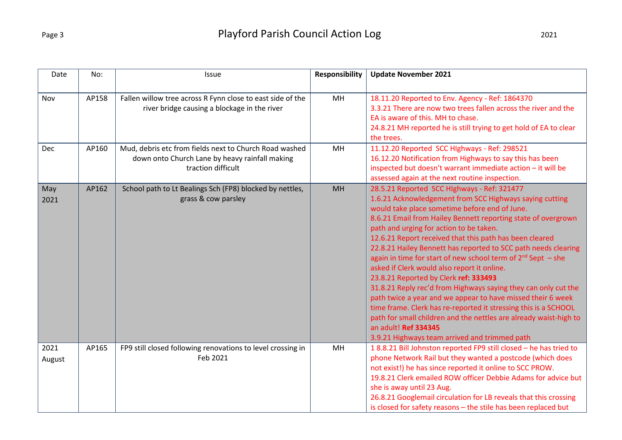| Date   | No:   | Issue                                                                | <b>Responsibility</b> | <b>Update November 2021</b>                                                                                                   |
|--------|-------|----------------------------------------------------------------------|-----------------------|-------------------------------------------------------------------------------------------------------------------------------|
| Nov    | AP158 | Fallen willow tree across R Fynn close to east side of the           | <b>MH</b>             | 18.11.20 Reported to Env. Agency - Ref: 1864370<br>3.3.21 There are now two trees fallen across the river and the             |
|        |       | river bridge causing a blockage in the river                         |                       | EA is aware of this. MH to chase.<br>24.8.21 MH reported he is still trying to get hold of EA to clear                        |
|        |       |                                                                      |                       | the trees.                                                                                                                    |
| Dec    | AP160 | Mud, debris etc from fields next to Church Road washed               | <b>MH</b>             | 11.12.20 Reported SCC Highways - Ref: 298521                                                                                  |
|        |       | down onto Church Lane by heavy rainfall making<br>traction difficult |                       | 16.12.20 Notification from Highways to say this has been<br>inspected but doesn't warrant immediate action - it will be       |
|        |       |                                                                      |                       | assessed again at the next routine inspection.                                                                                |
| May    | AP162 | School path to Lt Bealings Sch (FP8) blocked by nettles,             | MH                    | 28.5.21 Reported SCC HIghways - Ref: 321477                                                                                   |
| 2021   |       | grass & cow parsley                                                  |                       | 1.6.21 Acknowledgement from SCC Highways saying cutting<br>would take place sometime before end of June.                      |
|        |       |                                                                      |                       | 8.6.21 Email from Hailey Bennett reporting state of overgrown                                                                 |
|        |       |                                                                      |                       | path and urging for action to be taken.                                                                                       |
|        |       |                                                                      |                       | 12.6.21 Report received that this path has been cleared<br>22.8.21 Hailey Bennett has reported to SCC path needs clearing     |
|        |       |                                                                      |                       | again in time for start of new school term of $2^{nd}$ Sept $-$ she                                                           |
|        |       |                                                                      |                       | asked if Clerk would also report it online.                                                                                   |
|        |       |                                                                      |                       | 23.8.21 Reported by Clerk ref: 333493                                                                                         |
|        |       |                                                                      |                       | 31.8.21 Reply rec'd from Highways saying they can only cut the<br>path twice a year and we appear to have missed their 6 week |
|        |       |                                                                      |                       | time frame. Clerk has re-reported it stressing this is a SCHOOL                                                               |
|        |       |                                                                      |                       | path for small children and the nettles are already waist-high to                                                             |
|        |       |                                                                      |                       | an adult! Ref 334345                                                                                                          |
| 2021   | AP165 | FP9 still closed following renovations to level crossing in          | MH                    | 3.9.21 Highways team arrived and trimmed path<br>18.8.21 Bill Johnston reported FP9 still closed - he has tried to            |
| August |       | Feb 2021                                                             |                       | phone Network Rail but they wanted a postcode (which does                                                                     |
|        |       |                                                                      |                       | not exist!) he has since reported it online to SCC PROW.                                                                      |
|        |       |                                                                      |                       | 19.8.21 Clerk emailed ROW officer Debbie Adams for advice but                                                                 |
|        |       |                                                                      |                       | she is away until 23 Aug.<br>26.8.21 Googlemail circulation for LB reveals that this crossing                                 |
|        |       |                                                                      |                       | is closed for safety reasons - the stile has been replaced but                                                                |